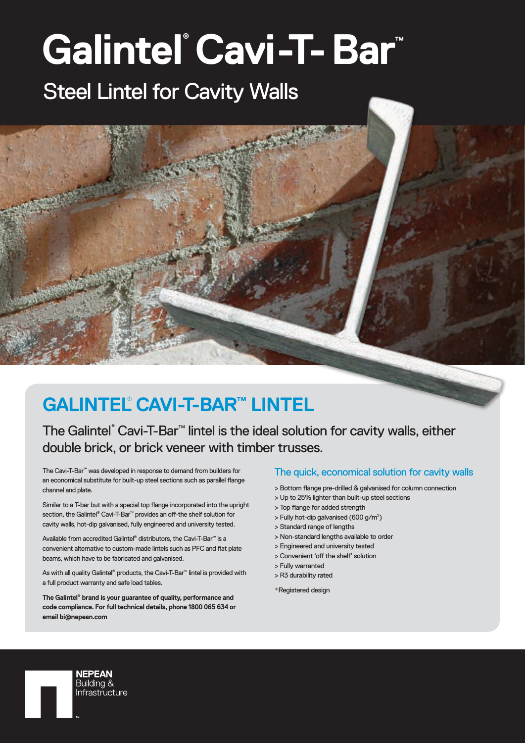# **Galintel® Cavi-T-Bar™** Steel Lintel for Cavity Walls

### **GALINTEL**®  **CAVI-T-BAR™ LINTEL**

### The Galintel® Cavi-T-Bar<sup>™</sup> lintel is the ideal solution for cavity walls, either double brick, or brick veneer with timber trusses.

The Cavi-T-Bar™ was developed in response to demand from builders for an economical substitute for built-up steel sections such as parallel flange channel and plate.

Similar to a T-bar but with a special top flange incorporated into the upright section, the Galintel® Cavi-T-Bar™ provides an off-the shelf solution for cavity walls, hot-dip galvanised, fully engineered and university tested.

Available from accredited Galintel® distributors, the Cavi-T-Bar™ is a convenient alternative to custom-made lintels such as PFC and flat plate beams, which have to be fabricated and galvanised.

As with all quality Galintel® products, the Cavi-T-Bar™ lintel is provided with a full product warranty and safe load tables.

**The Galintel**®  **brand is your guarantee of quality, performance and code compliance. For full technical details, phone 1800 065 634 or email bi@nepean.com**

> **NEPEAN** Buildina & Infrastructure

#### The quick, economical solution for cavity walls

- > Bottom flange pre-drilled & galvanised for column connection
- > Up to 25% lighter than built-up steel sections
- > Top flange for added strength
- > Fully hot-dip galvanised (600 g/m<sup>2</sup>)
- > Standard range of lengths
- > Non-standard lengths available to order
- > Engineered and university tested
- > Convenient 'off the shelf' solution
- > Fully warranted
- > R3 durability rated
- \*Registered design